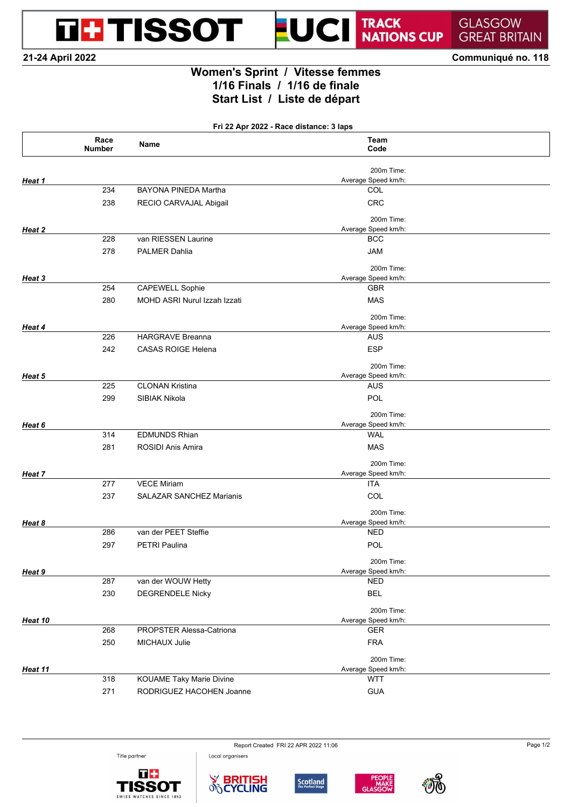**THE TISSOT** 

## TRACK<br>NATIONS CUP

**GLASGOW GREAT BRITAIN** 

**21-24 April 2022 Communiqué no. 118**

## **Women's Sprint / Vitesse femmes 1/16 Finals / 1/16 de finale Start List / Liste de départ**

۳

UCI

**Fri 22 Apr 2022 - Race distance: 3 laps**

|         | Race<br>Number | Name                            | Team<br>Code                      |  |
|---------|----------------|---------------------------------|-----------------------------------|--|
|         |                |                                 | 200m Time:                        |  |
| Heat 1  |                |                                 | Average Speed km/h:               |  |
|         | 234            | BAYONA PINEDA Martha            | COL                               |  |
|         | 238            | RECIO CARVAJAL Abigail          | <b>CRC</b>                        |  |
|         |                |                                 | 200m Time:                        |  |
| Heat 2  |                |                                 | Average Speed km/h:               |  |
|         | 228            | van RIESSEN Laurine             | <b>BCC</b>                        |  |
|         | 278            | <b>PALMER Dahlia</b>            | <b>JAM</b>                        |  |
|         |                |                                 | 200m Time:                        |  |
| Heat 3  |                |                                 | Average Speed km/h:               |  |
|         | 254            | <b>CAPEWELL Sophie</b>          | <b>GBR</b>                        |  |
|         | 280            | MOHD ASRI Nurul Izzah Izzati    | <b>MAS</b>                        |  |
|         |                |                                 | 200m Time:                        |  |
| Heat 4  |                |                                 | Average Speed km/h:               |  |
|         | 226            | <b>HARGRAVE Breanna</b>         | AUS                               |  |
|         | 242            | <b>CASAS ROIGE Helena</b>       | <b>ESP</b>                        |  |
|         |                |                                 | 200m Time:                        |  |
| Heat 5  |                |                                 | Average Speed km/h:               |  |
|         | 225            | <b>CLONAN Kristina</b>          | AUS                               |  |
|         | 299            | SIBIAK Nikola                   | POL                               |  |
| Heat 6  |                |                                 | 200m Time:<br>Average Speed km/h: |  |
|         | 314            | <b>EDMUNDS Rhian</b>            | <b>WAL</b>                        |  |
|         | 281            | <b>ROSIDI Anis Amira</b>        | <b>MAS</b>                        |  |
|         |                |                                 |                                   |  |
| Heat 7  |                |                                 | 200m Time:                        |  |
|         | 277            | <b>VECE Miriam</b>              | Average Speed km/h:<br>ITA        |  |
|         | 237            | <b>SALAZAR SANCHEZ Marianis</b> | COL                               |  |
|         |                |                                 |                                   |  |
|         |                |                                 | 200m Time:                        |  |
| Heat 8  | 286            | van der PEET Steffie            | Average Speed km/h:<br><b>NED</b> |  |
|         |                |                                 |                                   |  |
|         | 297            | <b>PETRI Paulina</b>            | POL                               |  |
|         |                |                                 | 200m Time:                        |  |
| Heat 9  |                |                                 | Average Speed km/h:               |  |
|         | 287            | van der WOUW Hetty              | <b>NED</b>                        |  |
|         | 230            | <b>DEGRENDELE Nicky</b>         | <b>BEL</b>                        |  |
| Heat 10 |                |                                 | 200m Time:<br>Average Speed km/h: |  |
|         | 268            | PROPSTER Alessa-Catriona        | <b>GER</b>                        |  |
|         | 250            | MICHAUX Julie                   | <b>FRA</b>                        |  |
|         |                |                                 |                                   |  |
|         |                |                                 | 200m Time:<br>Average Speed km/h: |  |
| Heat 11 | 318            | <b>KOUAME Taky Marie Divine</b> | <b>WTT</b>                        |  |
|         | 271            | RODRIGUEZ HACOHEN Joanne        | <b>GUA</b>                        |  |
|         |                |                                 |                                   |  |





Local organisers





Report Created FRI 22 APR 2022 11:06 Page 1/2